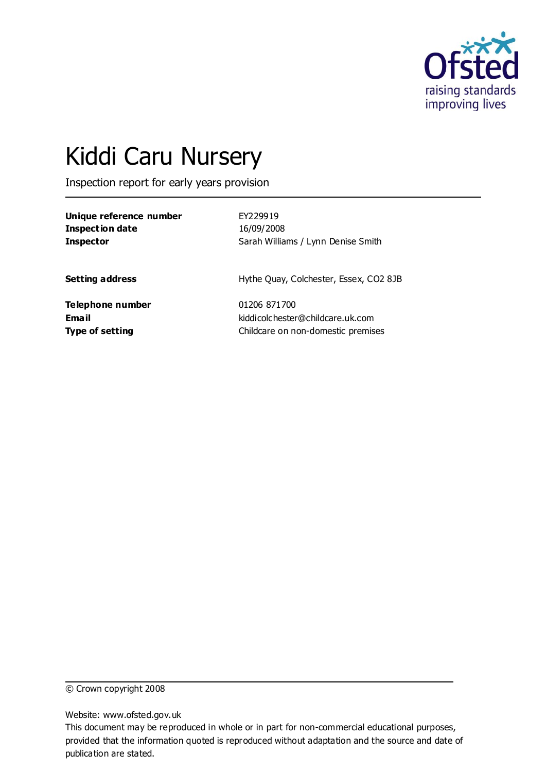

# Kiddi Caru Nursery

Inspection report for early years provision

| Unique reference number | EY229919                               |
|-------------------------|----------------------------------------|
| <b>Inspection date</b>  | 16/09/2008                             |
| <b>Inspector</b>        | Sarah Williams / Lynn Denise Smith     |
| <b>Setting address</b>  | Hythe Quay, Colchester, Essex, CO2 8JB |
| Telephone number        | 01206 871700                           |
| <b>Email</b>            | kiddicolchester@childcare.uk.com       |
| <b>Type of setting</b>  | Childcare on non-domestic premises     |

© Crown copyright 2008

Website: www.ofsted.gov.uk

This document may be reproduced in whole or in part for non-commercial educational purposes, provided that the information quoted is reproduced without adaptation and the source and date of publication are stated.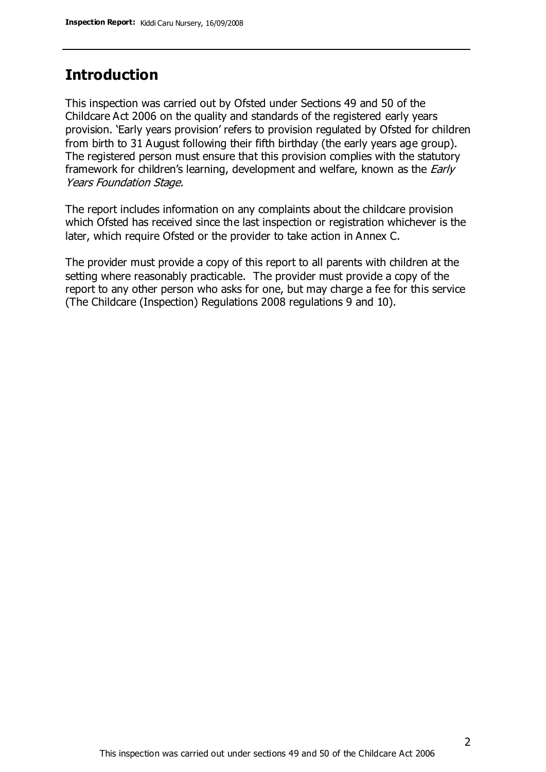#### **Introduction**

This inspection was carried out by Ofsted under Sections 49 and 50 of the Childcare Act 2006 on the quality and standards of the registered early years provision. 'Early years provision' refers to provision regulated by Ofsted for children from birth to 31 August following their fifth birthday (the early years age group). The registered person must ensure that this provision complies with the statutory framework for children's learning, development and welfare, known as the *Early* Years Foundation Stage.

The report includes information on any complaints about the childcare provision which Ofsted has received since the last inspection or registration whichever is the later, which require Ofsted or the provider to take action in Annex C.

The provider must provide a copy of this report to all parents with children at the setting where reasonably practicable. The provider must provide a copy of the report to any other person who asks for one, but may charge a fee for this service (The Childcare (Inspection) Regulations 2008 regulations 9 and 10).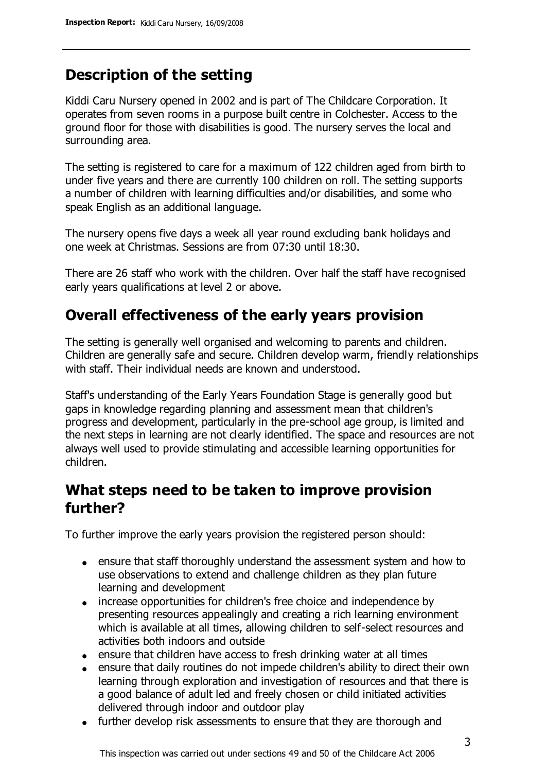## **Description of the setting**

Kiddi Caru Nursery opened in 2002 and is part of The Childcare Corporation. It operates from seven rooms in a purpose built centre in Colchester. Access to the ground floor for those with disabilities is good. The nursery serves the local and surrounding area.

The setting is registered to care for a maximum of 122 children aged from birth to under five years and there are currently 100 children on roll. The setting supports a number of children with learning difficulties and/or disabilities, and some who speak English as an additional language.

The nursery opens five days a week all year round excluding bank holidays and one week at Christmas. Sessions are from 07:30 until 18:30.

There are 26 staff who work with the children. Over half the staff have recognised early years qualifications at level 2 or above.

## **Overall effectiveness of the early years provision**

The setting is generally well organised and welcoming to parents and children. Children are generally safe and secure. Children develop warm, friendly relationships with staff. Their individual needs are known and understood.

Staff's understanding of the Early Years Foundation Stage is generally good but gaps in knowledge regarding planning and assessment mean that children's progress and development, particularly in the pre-school age group, is limited and the next steps in learning are not clearly identified. The space and resources are not always well used to provide stimulating and accessible learning opportunities for children.

### **What steps need to be taken to improve provision further?**

To further improve the early years provision the registered person should:

- ensure that staff thoroughly understand the assessment system and how to use observations to extend and challenge children as they plan future learning and development
- increase opportunities for children's free choice and independence by presenting resources appealingly and creating a rich learning environment which is available at all times, allowing children to self-select resources and activities both indoors and outside
- ensure that children have access to fresh drinking water at all times
- ensure that daily routines do not impede children's ability to direct their own learning through exploration and investigation of resources and that there is a good balance of adult led and freely chosen or child initiated activities delivered through indoor and outdoor play
- further develop risk assessments to ensure that they are thorough and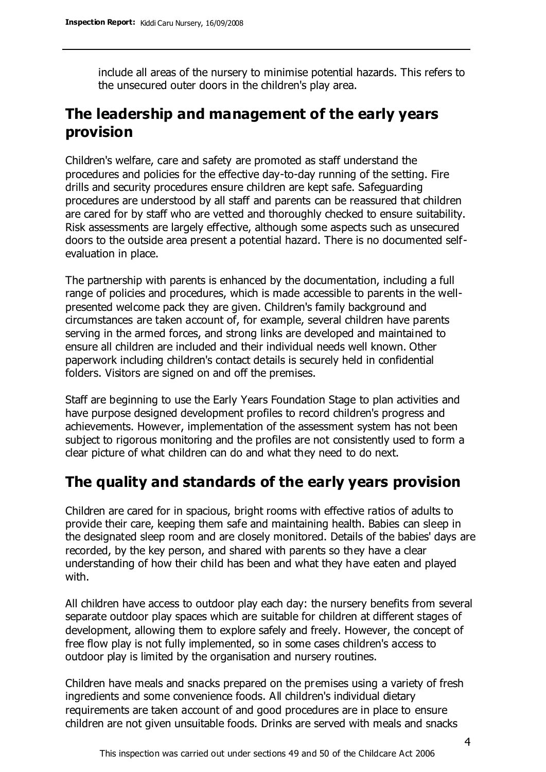include all areas of the nursery to minimise potential hazards. This refers to the unsecured outer doors in the children's play area.

## **The leadership and management of the early years provision**

Children's welfare, care and safety are promoted as staff understand the procedures and policies for the effective day-to-day running of the setting. Fire drills and security procedures ensure children are kept safe. Safeguarding procedures are understood by all staff and parents can be reassured that children are cared for by staff who are vetted and thoroughly checked to ensure suitability. Risk assessments are largely effective, although some aspects such as unsecured doors to the outside area present a potential hazard. There is no documented selfevaluation in place.

The partnership with parents is enhanced by the documentation, including a full range of policies and procedures, which is made accessible to parents in the wellpresented welcome pack they are given. Children's family background and circumstances are taken account of, for example, several children have parents serving in the armed forces, and strong links are developed and maintained to ensure all children are included and their individual needs well known. Other paperwork including children's contact details is securely held in confidential folders. Visitors are signed on and off the premises.

Staff are beginning to use the Early Years Foundation Stage to plan activities and have purpose designed development profiles to record children's progress and achievements. However, implementation of the assessment system has not been subject to rigorous monitoring and the profiles are not consistently used to form a clear picture of what children can do and what they need to do next.

#### **The quality and standards of the early years provision**

Children are cared for in spacious, bright rooms with effective ratios of adults to provide their care, keeping them safe and maintaining health. Babies can sleep in the designated sleep room and are closely monitored. Details of the babies' days are recorded, by the key person, and shared with parents so they have a clear understanding of how their child has been and what they have eaten and played with.

All children have access to outdoor play each day: the nursery benefits from several separate outdoor play spaces which are suitable for children at different stages of development, allowing them to explore safely and freely. However, the concept of free flow play is not fully implemented, so in some cases children's access to outdoor play is limited by the organisation and nursery routines.

Children have meals and snacks prepared on the premises using a variety of fresh ingredients and some convenience foods. All children's individual dietary requirements are taken account of and good procedures are in place to ensure children are not given unsuitable foods. Drinks are served with meals and snacks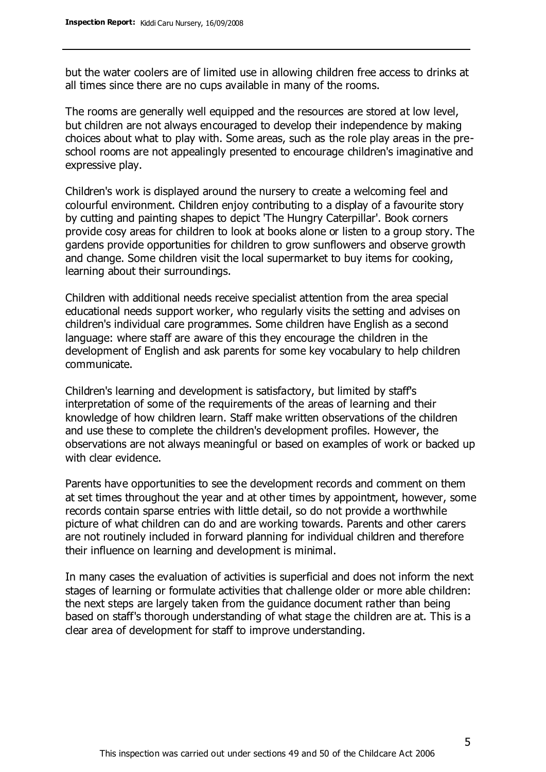but the water coolers are of limited use in allowing children free access to drinks at all times since there are no cups available in many of the rooms.

The rooms are generally well equipped and the resources are stored at low level, but children are not always encouraged to develop their independence by making choices about what to play with. Some areas, such as the role play areas in the preschool rooms are not appealingly presented to encourage children's imaginative and expressive play.

Children's work is displayed around the nursery to create a welcoming feel and colourful environment. Children enjoy contributing to a display of a favourite story by cutting and painting shapes to depict 'The Hungry Caterpillar'. Book corners provide cosy areas for children to look at books alone or listen to a group story. The gardens provide opportunities for children to grow sunflowers and observe growth and change. Some children visit the local supermarket to buy items for cooking, learning about their surroundings.

Children with additional needs receive specialist attention from the area special educational needs support worker, who regularly visits the setting and advises on children's individual care programmes. Some children have English as a second language: where staff are aware of this they encourage the children in the development of English and ask parents for some key vocabulary to help children communicate.

Children's learning and development is satisfactory, but limited by staff's interpretation of some of the requirements of the areas of learning and their knowledge of how children learn. Staff make written observations of the children and use these to complete the children's development profiles. However, the observations are not always meaningful or based on examples of work or backed up with clear evidence.

Parents have opportunities to see the development records and comment on them at set times throughout the year and at other times by appointment, however, some records contain sparse entries with little detail, so do not provide a worthwhile picture of what children can do and are working towards. Parents and other carers are not routinely included in forward planning for individual children and therefore their influence on learning and development is minimal.

In many cases the evaluation of activities is superficial and does not inform the next stages of learning or formulate activities that challenge older or more able children: the next steps are largely taken from the guidance document rather than being based on staff's thorough understanding of what stage the children are at. This is a clear area of development for staff to improve understanding.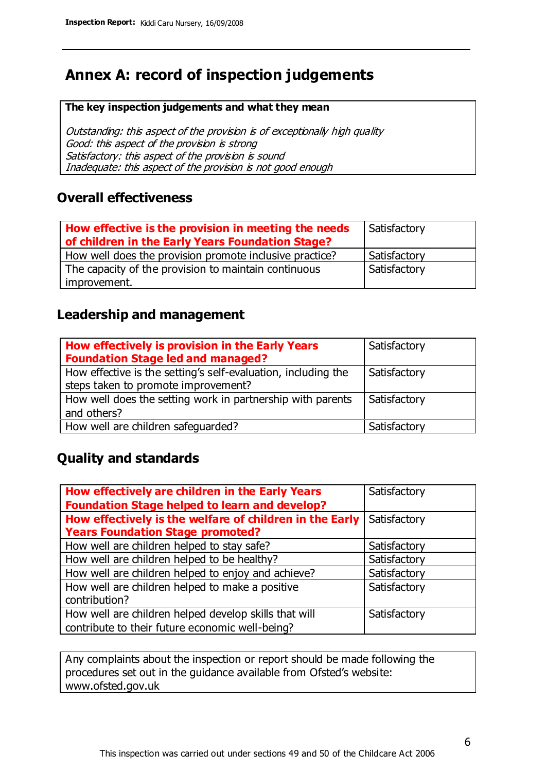## **Annex A: record of inspection judgements**

#### **The key inspection judgements and what they mean**

Outstanding: this aspect of the provision is of exceptionally high quality Good: this aspect of the provision is strong Satisfactory: this aspect of the provision is sound Inadequate: this aspect of the provision is not good enough

#### **Overall effectiveness**

| How effective is the provision in meeting the needs<br>of children in the Early Years Foundation Stage? | Satisfactory |
|---------------------------------------------------------------------------------------------------------|--------------|
| How well does the provision promote inclusive practice?                                                 | Satisfactory |
| The capacity of the provision to maintain continuous                                                    | Satisfactory |
| improvement.                                                                                            |              |

#### **Leadership and management**

| How effectively is provision in the Early Years<br><b>Foundation Stage led and managed?</b>          | Satisfactory |
|------------------------------------------------------------------------------------------------------|--------------|
| How effective is the setting's self-evaluation, including the<br>steps taken to promote improvement? | Satisfactory |
| How well does the setting work in partnership with parents<br>and others?                            | Satisfactory |
| How well are children safeguarded?                                                                   | Satisfactory |

#### **Quality and standards**

| How effectively are children in the Early Years         | Satisfactory |
|---------------------------------------------------------|--------------|
| <b>Foundation Stage helped to learn and develop?</b>    |              |
| How effectively is the welfare of children in the Early | Satisfactory |
| <b>Years Foundation Stage promoted?</b>                 |              |
| How well are children helped to stay safe?              | Satisfactory |
| How well are children helped to be healthy?             | Satisfactory |
| How well are children helped to enjoy and achieve?      | Satisfactory |
| How well are children helped to make a positive         | Satisfactory |
| contribution?                                           |              |
| How well are children helped develop skills that will   | Satisfactory |
| contribute to their future economic well-being?         |              |

Any complaints about the inspection or report should be made following the procedures set out in the guidance available from Ofsted's website: www.ofsted.gov.uk